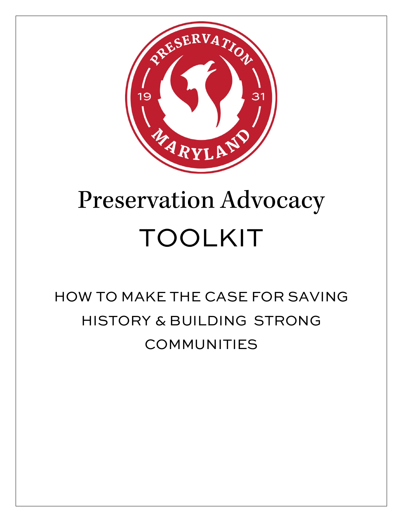

# Preservation Advocacy TOOLKIT

# HOW TO MAKE THE CASE FOR SAVING HISTORY & BUILDING STRONG COMMUNITIES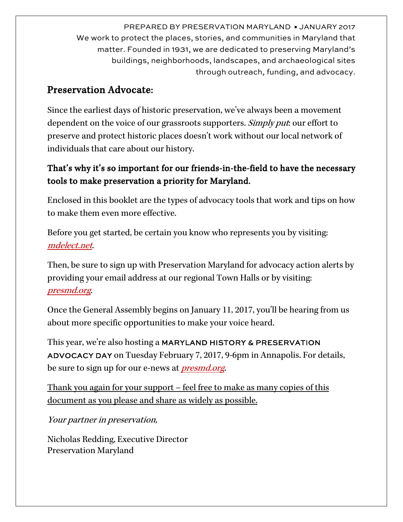PREPARED BY PRESERVATION MARYLAND ▪ JANUARY 2017 We work to protect the places, stories, and communities in Maryland that matter. Founded in 1931, we are dedicated to preserving Maryland's buildings, neighborhoods, landscapes, and archaeological sites through outreach, funding, and advocacy.

#### Preservation Advocate:

Since the earliest days of historic preservation, we've always been a movement dependent on the voice of our grassroots supporters. Simply put our effort to preserve and protect historic places doesn't work without our local network of individuals that care about our history.

#### That's why it's so important for our friends-in-the-field to have the necessary tools to make preservation a priority for Maryland.

Enclosed in this booklet are the types of advocacy tools that work and tips on how to make them even more effective.

Before you get started, be certain you know who represents you by visiting: [mdelect.net](http://www.mdelect.net/).

Then, be sure to sign up with Preservation Maryland for advocacy action alerts by providing your email address at our regional Town Halls or by visiting: [presmd.org](http://www.presmd.org/).

Once the General Assembly begins on January 11, 2017, you'll be hearing from us about more specific opportunities to make your voice heard.

This year, we're also hosting a MARYLAND HISTORY & PRESERVATION ADVOCACY DAY on Tuesday February 7, 2017, 9-6pm in Annapolis. For details, be sure to sign up for our e-news at *[presmd.org](http://www.presmd.org/)*.

Thank you again for your support – feel free to make as many copies of this document as you please and share as widely as possible.

Your partner in preservation,

Nicholas Redding, Executive Director Preservation Maryland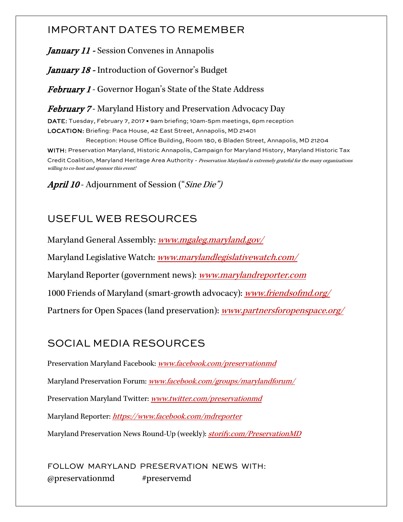#### IMPORTANT DATES TO REMEMBER

January 11 - Session Convenes in Annapolis

January 18 - Introduction of Governor's Budget

**February 1** - Governor Hogan's State of the State Address

February 7 - Maryland History and Preservation Advocacy Day

DATE: Tuesday, February 7, 2017 . 9am briefing; 10am-5pm meetings, 6pm reception LOCATION: Briefing: Paca House, 42 East Street, Annapolis, MD 21401

 Reception: House Office Building, Room 180, 6 Bladen Street, Annapolis, MD 21204 WITH: Preservation Maryland, Historic Annapolis, Campaign for Maryland History, Maryland Historic Tax Credit Coalition, Maryland Heritage Area Authority - Preservation Maryland is extremely grateful for the many organizations willing to co-host and sponsor this event!

April 10 - Adjournment of Session ("Sine Die")

## USEFUL WEB RESOURCES

Maryland General Assembly: *www.mgaleg.maryland.gov* Maryland Legislative Watch: *www.marylandlegislativewatch.com*/ Maryland Reporter (government news): *[www.marylandreporter.com](http://www.marylandreporter.com/)* 1000 Friends of Maryland (smart-growth advocacy): *[www.friendsofmd.org/](http://www.friendsofmd.org/)* Partners for Open Spaces (land preservation): [www.partnersforopenspace.org/](http://www.partnersforopenspace.org/)

# SOCIAL MEDIA RESOURCES

Preservation Maryland Facebook: [www.facebook.com/preservationmd](http://www.facebook.com/preservationmd) Maryland Preservation Forum: [www.facebook.com/groups/marylandforum/](https://www.facebook.com/groups/marylandforum/) Preservation Maryland Twitter: [www.twitter.com/preservationmd](http://www.twitter.com/preservationmd) Maryland Reporter: <https://www.facebook.com/mdreporter> Maryland Preservation News Round-Up (weekly): [storify.com/PreservationMD](file://EgnyteDrive-EColmers/presmd/Shared/Data/presmd/Programmatic/Advocacy/State/2016%20Legislative%20Session/Toolkit%202016/storify.com/PreservationMD)

FOLLOW MARYLAND PRESERVATION NEWS WITH: @preservationmd #preservemd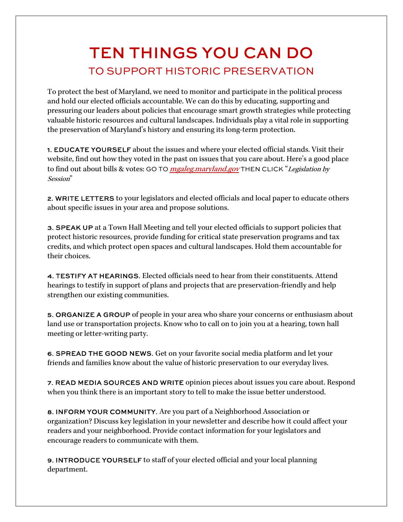# TEN THINGS YOU CAN DO TO SUPPORT HISTORIC PRESERVATION

To protect the best of Maryland, we need to monitor and participate in the political process and hold our elected officials accountable. We can do this by educating, supporting and pressuring our leaders about policies that encourage smart growth strategies while protecting valuable historic resources and cultural landscapes. Individuals play a vital role in supporting the preservation of Maryland's history and ensuring its long-term protection.

1. EDUCATE YOURSELF about the issues and where your elected official stands. Visit their website, find out how they voted in the past on issues that you care about. Here's a good place to find out about bills & votes: GO TO *mgaleg.maryland.gov* THEN CLICK "Legislation by Session"

2. WRITE LETTERS to your legislators and elected officials and local paper to educate others about specific issues in your area and propose solutions.

3. SPEAK UP at a Town Hall Meeting and tell your elected officials to support policies that protect historic resources, provide funding for critical state preservation programs and tax credits, and which protect open spaces and cultural landscapes. Hold them accountable for their choices.

4. TESTIFY AT HEARINGS. Elected officials need to hear from their constituents. Attend hearings to testify in support of plans and projects that are preservation-friendly and help strengthen our existing communities.

5. ORGANIZE A GROUP of people in your area who share your concerns or enthusiasm about land use or transportation projects. Know who to call on to join you at a hearing, town hall meeting or letter-writing party.

6. SPREAD THE GOOD NEWS. Get on your favorite social media platform and let your friends and families know about the value of historic preservation to our everyday lives.

7. READ MEDIA SOURCES AND WRITE opinion pieces about issues you care about. Respond when you think there is an important story to tell to make the issue better understood.

8. INFORM YOUR COMMUNITY. Are you part of a Neighborhood Association or organization? Discuss key legislation in your newsletter and describe how it could affect your readers and your neighborhood. Provide contact information for your legislators and encourage readers to communicate with them.

9. INTRODUCE YOURSELF to staff of your elected official and your local planning department.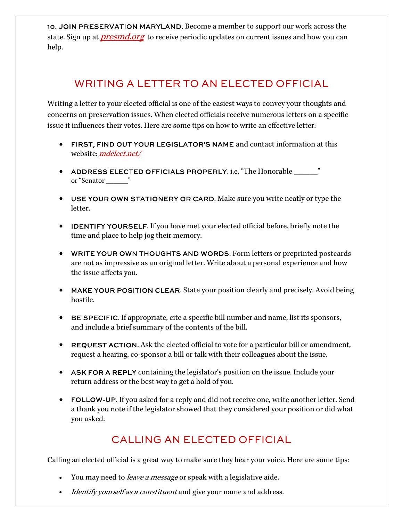10. JOIN PRESERVATION MARYLAND. Become a member to support our work across the state. Sign up at *[presmd.org](http://www.presmd.org/)* to receive periodic updates on current issues and how you can help.

### WRITING A LETTER TO AN ELECTED OFFICIAL

Writing a letter to your elected official is one of the easiest ways to convey your thoughts and concerns on preservation issues. When elected officials receive numerous letters on a specific issue it influences their votes. Here are some tips on how to write an effective letter:

- FIRST, FIND OUT YOUR LEGISLATOR'S NAME and contact information at this website: *mdelect.net*
- ADDRESS ELECTED OFFICIALS PROPERLY. i.e. "The Honorable \_\_\_\_\_\_\_" or "Senator \_\_\_\_\_\_ "
- USE YOUR OWN STATIONERY OR CARD. Make sure you write neatly or type the letter.
- IDENTIFY YOURSELF. If you have met your elected official before, briefly note the time and place to help jog their memory.
- WRITE YOUR OWN THOUGHTS AND WORDS. Form letters or preprinted postcards are not as impressive as an original letter. Write about a personal experience and how the issue affects you.
- MAKE YOUR POSITION CLEAR. State your position clearly and precisely. Avoid being hostile.
- BE SPECIFIC. If appropriate, cite a specific bill number and name, list its sponsors, and include a brief summary of the contents of the bill.
- REQUEST ACTION. Ask the elected official to vote for a particular bill or amendment, request a hearing, co-sponsor a bill or talk with their colleagues about the issue.
- ASK FOR A REPLY containing the legislator's position on the issue. Include your return address or the best way to get a hold of you.
- FOLLOW-UP. If you asked for a reply and did not receive one, write another letter. Send a thank you note if the legislator showed that they considered your position or did what you asked.

### CALLING AN ELECTED OFFICIAL

Calling an elected official is a great way to make sure they hear your voice. Here are some tips:

- You may need to *leave a message* or speak with a legislative aide.
- *Identify yourself as a constituent* and give your name and address.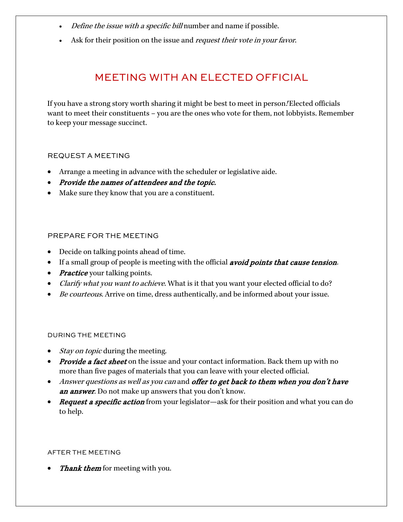- Define the issue with a specific bill number and name if possible.
- Ask for their position on the issue and *request their vote in your favor*.

#### MEETING WITH AN ELECTED OFFICIAL

If you have a strong story worth sharing it might be best to meet in person! Elected officials want to meet their constituents – you are the ones who vote for them, not lobbyists. Remember to keep your message succinct.

#### REQUEST A MEETING

- Arrange a meeting in advance with the scheduler or legislative aide.
- Provide the names of attendees and the topic.
- Make sure they know that you are a constituent.

#### PREPARE FOR THE MEETING

- Decide on talking points ahead of time.
- If a small group of people is meeting with the official *avoid points that cause tension*.
- *Practice* your talking points.
- *Clarify what you want to achieve.* What is it that you want your elected official to do?
- Be courteous. Arrive on time, dress authentically, and be informed about your issue.

#### DURING THE MEETING

- *Stay on topic* during the meeting.
- *Provide a fact sheet* on the issue and your contact information. Back them up with no more than five pages of materials that you can leave with your elected official.
- Answer questions as well as you can and offer to get back to them when you don't have an answer. Do not make up answers that you don't know.
- **Request a specific action** from your legislator—ask for their position and what you can do to help.

#### AFTER THE MEETING

*Thank them* for meeting with you.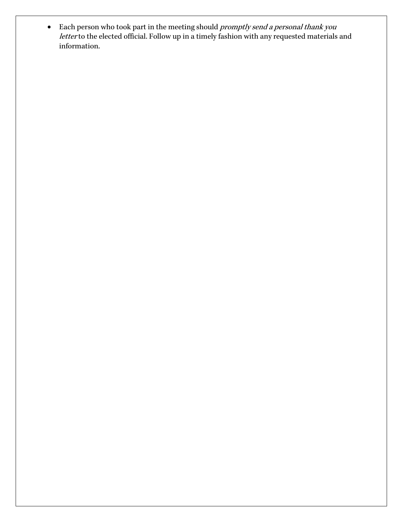• Each person who took part in the meeting should promptly send a personal thank you letter to the elected official. Follow up in a timely fashion with any requested materials and information.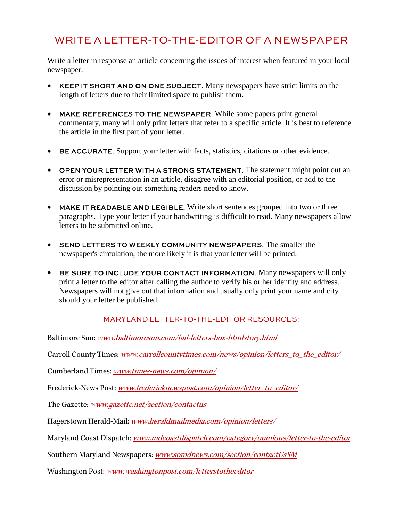#### WRITE A LETTER-TO-THE-EDITOR OF A NEWSPAPER

Write a letter in response an article concerning the issues of interest when featured in your local newspaper.

- KEEP IT SHORT AND ON ONE SUBJECT. Many newspapers have strict limits on the length of letters due to their limited space to publish them.
- MAKE REFERENCES TO THE NEWSPAPER. While some papers print general commentary, many will only print letters that refer to a specific article. It is best to reference the article in the first part of your letter.
- BE ACCURATE. Support your letter with facts, statistics, citations or other evidence.
- OPEN YOUR LETTER WITH A STRONG STATEMENT. The statement might point out an error or misrepresentation in an article, disagree with an editorial position, or add to the discussion by pointing out something readers need to know.
- MAKE IT READABLE AND LEGIBLE. Write short sentences grouped into two or three paragraphs. Type your letter if your handwriting is difficult to read. Many newspapers allow letters to be submitted online.
- SEND LETTERS TO WEEKLY COMMUNITY NEWSPAPERS. The smaller the newspaper's circulation, the more likely it is that your letter will be printed.
- BE SURE TO INCLUDE YOUR CONTACT INFORMATION. Many newspapers will only print a letter to the editor after calling the author to verify his or her identity and address. Newspapers will not give out that information and usually only print your name and city should your letter be published.

#### MARYLAND LETTER-TO-THE-EDITOR RESOURCES:

Baltimore Sun: [www.baltimoresun.com/bal-letters-box-htmlstory.html](http://www.baltimoresun.com/bal-letters-box-htmlstory.html)

Carroll County Times: [www.carrollcountytimes.com/news/opinion/letters\\_to\\_the\\_editor/](http://www.carrollcountytimes.com/news/opinion/letters_to_the_editor/)

Cumberland Times: [www.times-news.com/opinion/](http://www.times-news.com/opinion/)

Frederick-News Post: [www.fredericknewspost.com/opinion/letter\\_to\\_editor/](http://www.fredericknewspost.com/opinion/letter_to_editor/)

The Gazette: [www.gazette.net/section/contactus](http://www.gazette.net/section/contactus)

Hagerstown Herald-Mail: [www.heraldmailmedia.com/opinion/letters/](http://www.heraldmailmedia.com/opinion/letters/)

Maryland Coast Dispatch: [www.mdcoastdispatch.com/category/opinions/letter-to-the-editor](http://www.mdcoastdispatch.com/category/opinions/letter-to-the-editor)

Southern Maryland Newspapers: [www.somdnews.com/section/contactUsSM](http://www.somdnews.com/section/contactUsSM)

Washington Post: [www.washingtonpost.com/letterstotheeditor](http://www.washingtonpost.com/letterstotheeditor)